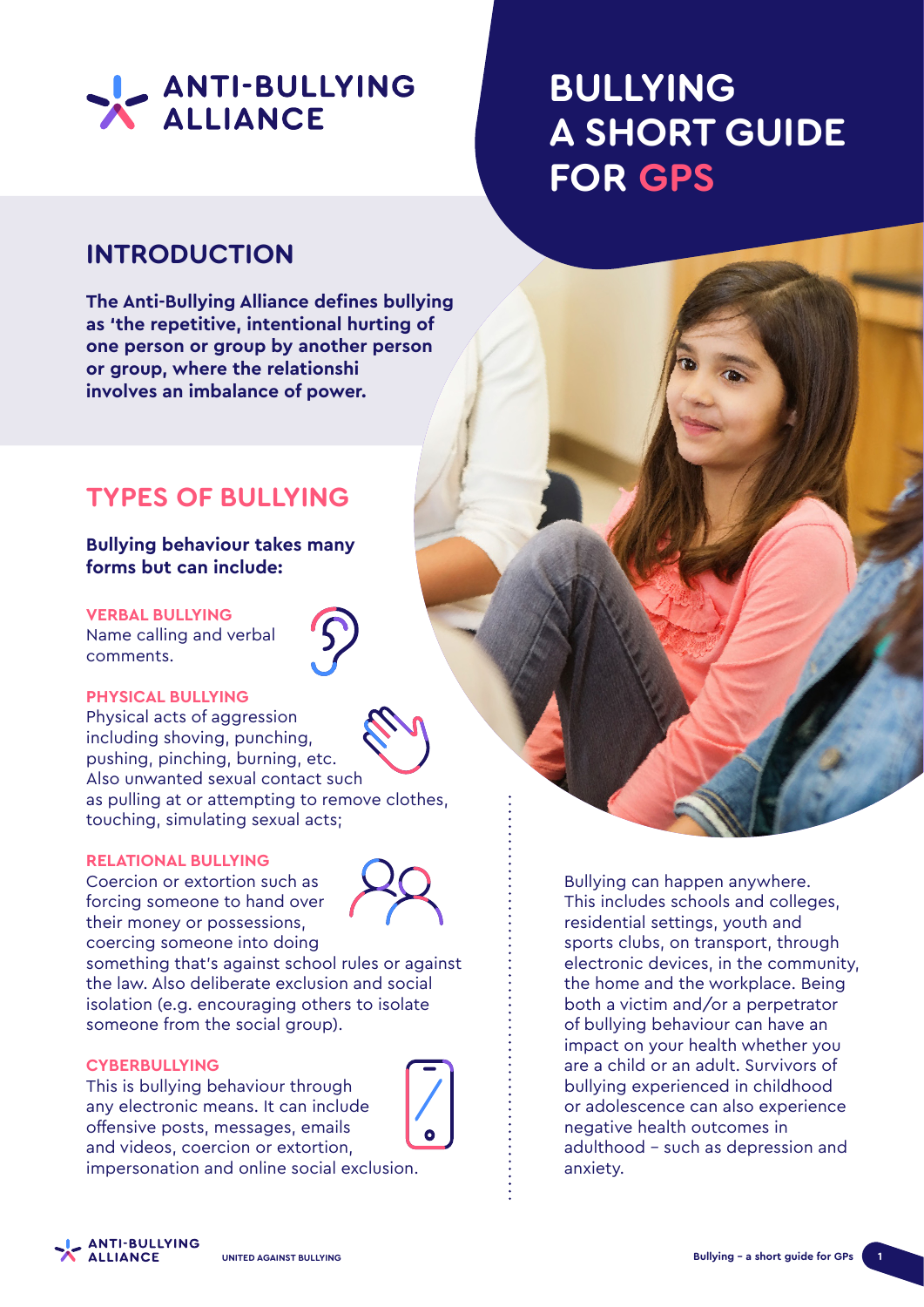

# **BULLYING A SHORT GUIDE FOR GPS**

### **INTRODUCTION**

**The Anti-Bullying Alliance defines bullying as 'the repetitive, intentional hurting of one person or group by another person or group, where the relationshi involves an imbalance of power.**

### **TYPES OF BULLYING**

**Bullying behaviour takes many forms but can include:**

#### **VERBAL BULLYING**

Name calling and verbal comments.



Physical acts of aggression including shoving, punching, pushing, pinching, burning, etc. Also unwanted sexual contact such as pulling at or attempting to remove clothes, touching, simulating sexual acts;

#### **RELATIONAL BULLYING**

Coercion or extortion such as forcing someone to hand over their money or possessions, coercing someone into doing



something that's against school rules or against the law. Also deliberate exclusion and social isolation (e.g. encouraging others to isolate someone from the social group).

#### **CYBERBULLYING**

This is bullying behaviour through any electronic means. It can include offensive posts, messages, emails and videos, coercion or extortion, impersonation and online social exclusion.



residential settings, youth and sports clubs, on transport, through electronic devices, in the community, the home and the workplace. Being both a victim and/or a perpetrator of bullying behaviour can have an impact on your health whether you are a child or an adult. Survivors of bullying experienced in childhood or adolescence can also experience negative health outcomes in adulthood – such as depression and anxiety.

Bullying can happen anywhere. This includes schools and colleges,

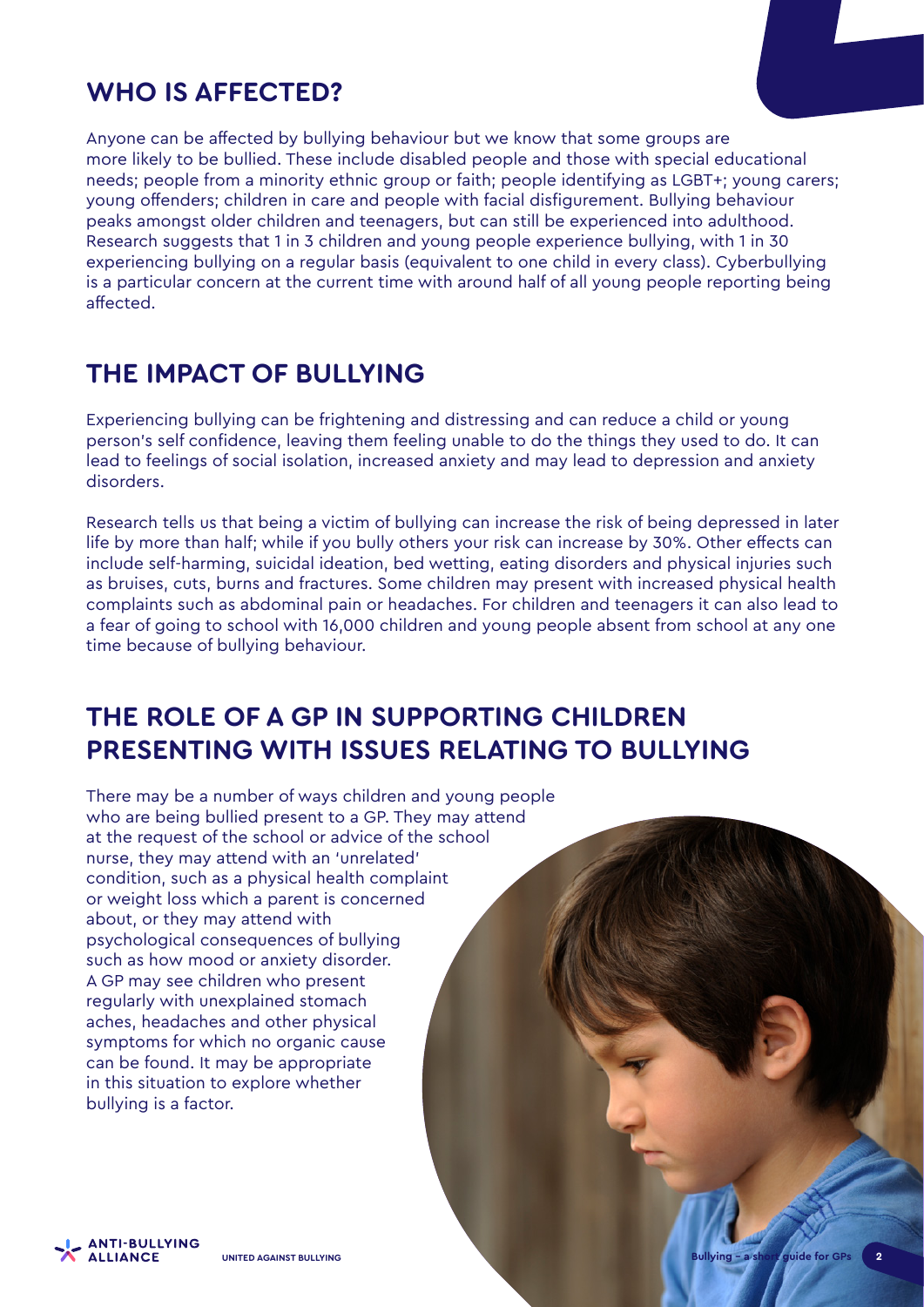### **WHO IS AFFECTED?**

Anyone can be affected by bullying behaviour but we know that some groups are more likely to be bullied. These include disabled people and those with special educational needs; people from a minority ethnic group or faith; people identifying as LGBT+; young carers; young offenders; children in care and people with facial disfigurement. Bullying behaviour peaks amongst older children and teenagers, but can still be experienced into adulthood. Research suggests that 1 in 3 children and young people experience bullying, with 1 in 30 experiencing bullying on a regular basis (equivalent to one child in every class). Cyberbullying is a particular concern at the current time with around half of all young people reporting being affected.

### **THE IMPACT OF BULLYING**

Experiencing bullying can be frightening and distressing and can reduce a child or young person's self confidence, leaving them feeling unable to do the things they used to do. It can lead to feelings of social isolation, increased anxiety and may lead to depression and anxiety disorders.

Research tells us that being a victim of bullying can increase the risk of being depressed in later life by more than half; while if you bully others your risk can increase by 30%. Other effects can include self-harming, suicidal ideation, bed wetting, eating disorders and physical injuries such as bruises, cuts, burns and fractures. Some children may present with increased physical health complaints such as abdominal pain or headaches. For children and teenagers it can also lead to a fear of going to school with 16,000 children and young people absent from school at any one time because of bullying behaviour.

## **THE ROLE OF A GP IN SUPPORTING CHILDREN PRESENTING WITH ISSUES RELATING TO BULLYING**

There may be a number of ways children and young people who are being bullied present to a GP. They may attend at the request of the school or advice of the school nurse, they may attend with an 'unrelated' condition, such as a physical health complaint or weight loss which a parent is concerned about, or they may attend with psychological consequences of bullying such as how mood or anxiety disorder. A GP may see children who present regularly with unexplained stomach aches, headaches and other physical symptoms for which no organic cause can be found. It may be appropriate in this situation to explore whether bullying is a factor.

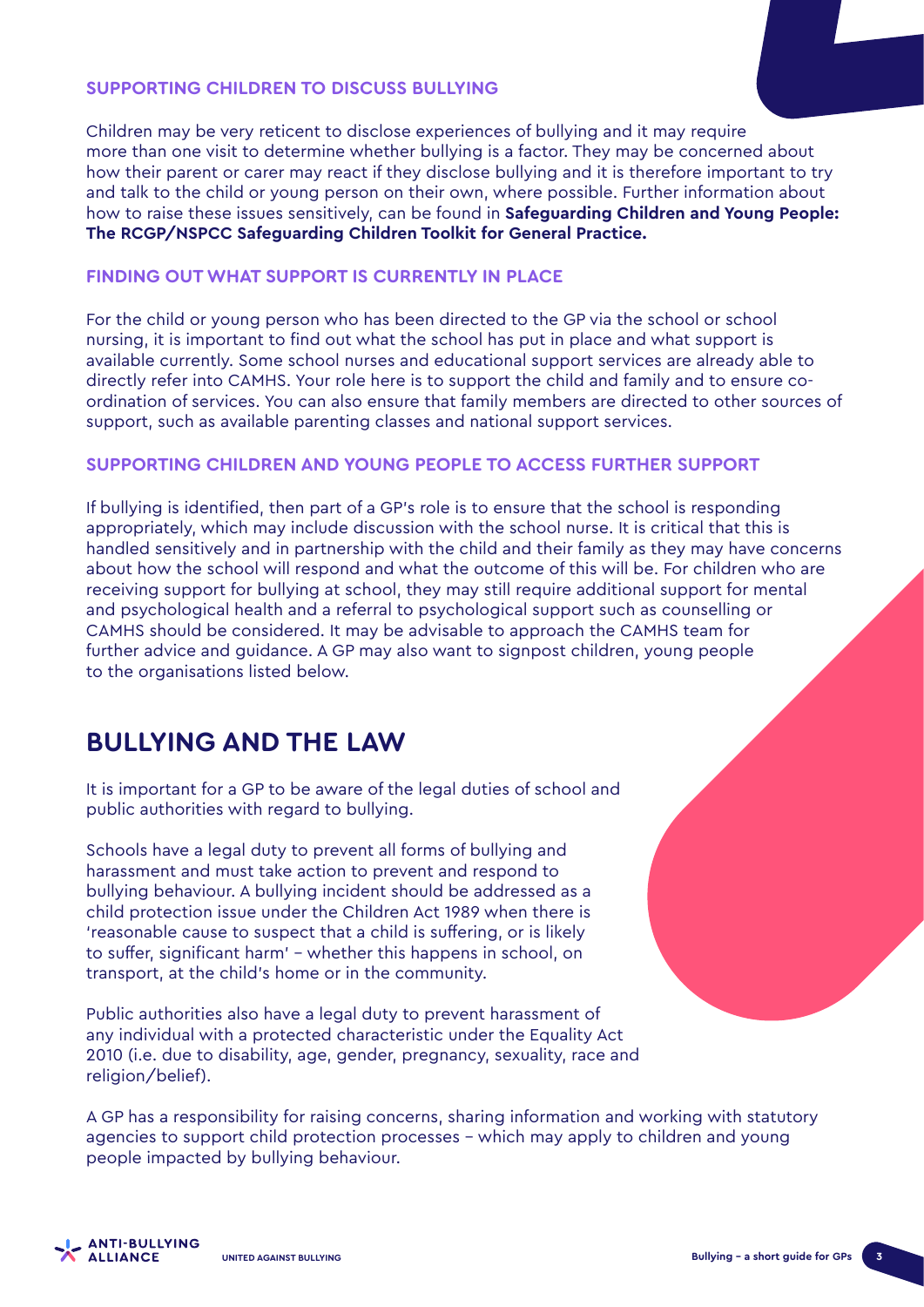#### **SUPPORTING CHILDREN TO DISCUSS BULLYING**

Children may be very reticent to disclose experiences of bullying and it may require more than one visit to determine whether bullying is a factor. They may be concerned about how their parent or carer may react if they disclose bullying and it is therefore important to try and talk to the child or young person on their own, where possible. Further information about how to raise these issues sensitively, can be found in **Safeguarding Children and Young People: The RCGP/NSPCC Safeguarding Children Toolkit for General Practice.**

#### **FINDING OUT WHAT SUPPORT IS CURRENTLY IN PLACE**

For the child or young person who has been directed to the GP via the school or school nursing, it is important to find out what the school has put in place and what support is available currently. Some school nurses and educational support services are already able to directly refer into CAMHS. Your role here is to support the child and family and to ensure coordination of services. You can also ensure that family members are directed to other sources of support, such as available parenting classes and national support services.

#### **SUPPORTING CHILDREN AND YOUNG PEOPLE TO ACCESS FURTHER SUPPORT**

If bullying is identified, then part of a GP's role is to ensure that the school is responding appropriately, which may include discussion with the school nurse. It is critical that this is handled sensitively and in partnership with the child and their family as they may have concerns about how the school will respond and what the outcome of this will be. For children who are receiving support for bullying at school, they may still require additional support for mental and psychological health and a referral to psychological support such as counselling or CAMHS should be considered. It may be advisable to approach the CAMHS team for further advice and guidance. A GP may also want to signpost children, young people to the organisations listed below.

### **BULLYING AND THE LAW**

It is important for a GP to be aware of the legal duties of school and public authorities with regard to bullying.

Schools have a legal duty to prevent all forms of bullying and harassment and must take action to prevent and respond to bullying behaviour. A bullying incident should be addressed as a child protection issue under the Children Act 1989 when there is 'reasonable cause to suspect that a child is suffering, or is likely to suffer, significant harm' – whether this happens in school, on transport, at the child's home or in the community.

Public authorities also have a legal duty to prevent harassment of any individual with a protected characteristic under the Equality Act 2010 (i.e. due to disability, age, gender, pregnancy, sexuality, race and religion/belief).

A GP has a responsibility for raising concerns, sharing information and working with statutory agencies to support child protection processes – which may apply to children and young people impacted by bullying behaviour.